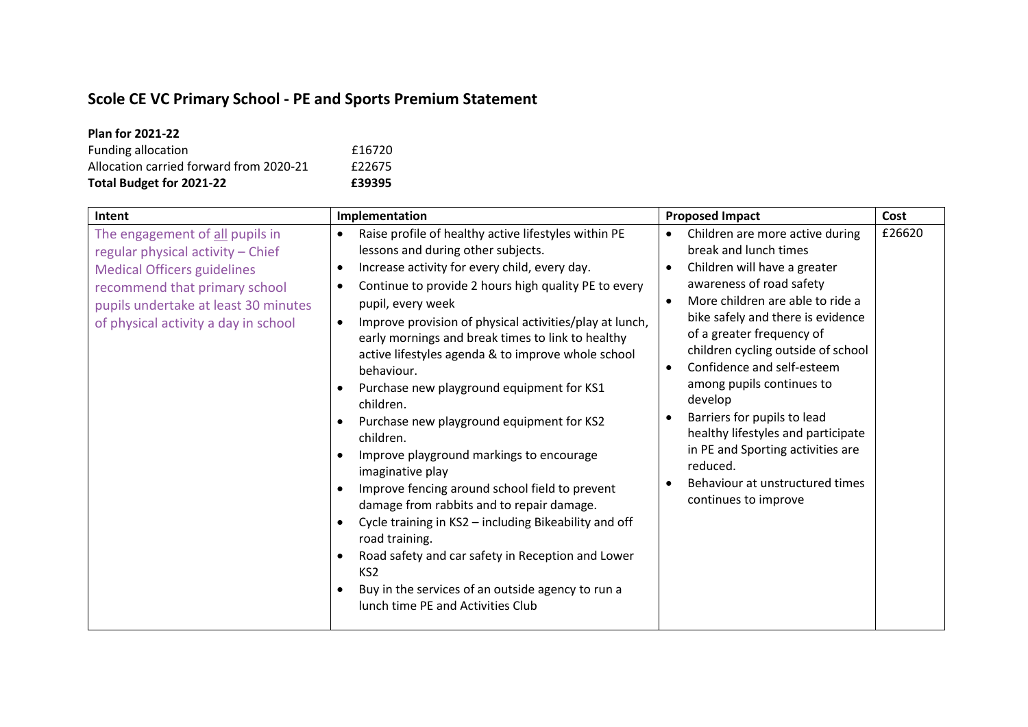## **Scole CE VC Primary School - PE and Sports Premium Statement**

| <b>Plan for 2021-22</b>                 |        |
|-----------------------------------------|--------|
| Funding allocation                      | £16720 |
| Allocation carried forward from 2020-21 | £22675 |
| Total Budget for 2021-22                | £39395 |

| Intent                                                                                                                                                                                                                      | Implementation                                                                                                                                                                                                                                                                                                                                                                                                                                                                                                                                                                                                                                                                                                                                                                                                                                                                                                                                                                      | <b>Proposed Impact</b>                                                                                                                                                                                                                                                                                                                                                                                                                                                                                                                                                           | Cost   |
|-----------------------------------------------------------------------------------------------------------------------------------------------------------------------------------------------------------------------------|-------------------------------------------------------------------------------------------------------------------------------------------------------------------------------------------------------------------------------------------------------------------------------------------------------------------------------------------------------------------------------------------------------------------------------------------------------------------------------------------------------------------------------------------------------------------------------------------------------------------------------------------------------------------------------------------------------------------------------------------------------------------------------------------------------------------------------------------------------------------------------------------------------------------------------------------------------------------------------------|----------------------------------------------------------------------------------------------------------------------------------------------------------------------------------------------------------------------------------------------------------------------------------------------------------------------------------------------------------------------------------------------------------------------------------------------------------------------------------------------------------------------------------------------------------------------------------|--------|
| The engagement of all pupils in<br>regular physical activity - Chief<br><b>Medical Officers guidelines</b><br>recommend that primary school<br>pupils undertake at least 30 minutes<br>of physical activity a day in school | Raise profile of healthy active lifestyles within PE<br>lessons and during other subjects.<br>Increase activity for every child, every day.<br>$\bullet$<br>Continue to provide 2 hours high quality PE to every<br>$\bullet$<br>pupil, every week<br>Improve provision of physical activities/play at lunch,<br>$\bullet$<br>early mornings and break times to link to healthy<br>active lifestyles agenda & to improve whole school<br>behaviour.<br>Purchase new playground equipment for KS1<br>children.<br>Purchase new playground equipment for KS2<br>children.<br>Improve playground markings to encourage<br>imaginative play<br>Improve fencing around school field to prevent<br>damage from rabbits and to repair damage.<br>Cycle training in KS2 - including Bikeability and off<br>road training.<br>Road safety and car safety in Reception and Lower<br>KS <sub>2</sub><br>Buy in the services of an outside agency to run a<br>lunch time PE and Activities Club | Children are more active during<br>$\bullet$<br>break and lunch times<br>Children will have a greater<br>$\bullet$<br>awareness of road safety<br>More children are able to ride a<br>$\bullet$<br>bike safely and there is evidence<br>of a greater frequency of<br>children cycling outside of school<br>Confidence and self-esteem<br>$\bullet$<br>among pupils continues to<br>develop<br>Barriers for pupils to lead<br>٠<br>healthy lifestyles and participate<br>in PE and Sporting activities are<br>reduced.<br>Behaviour at unstructured times<br>continues to improve | £26620 |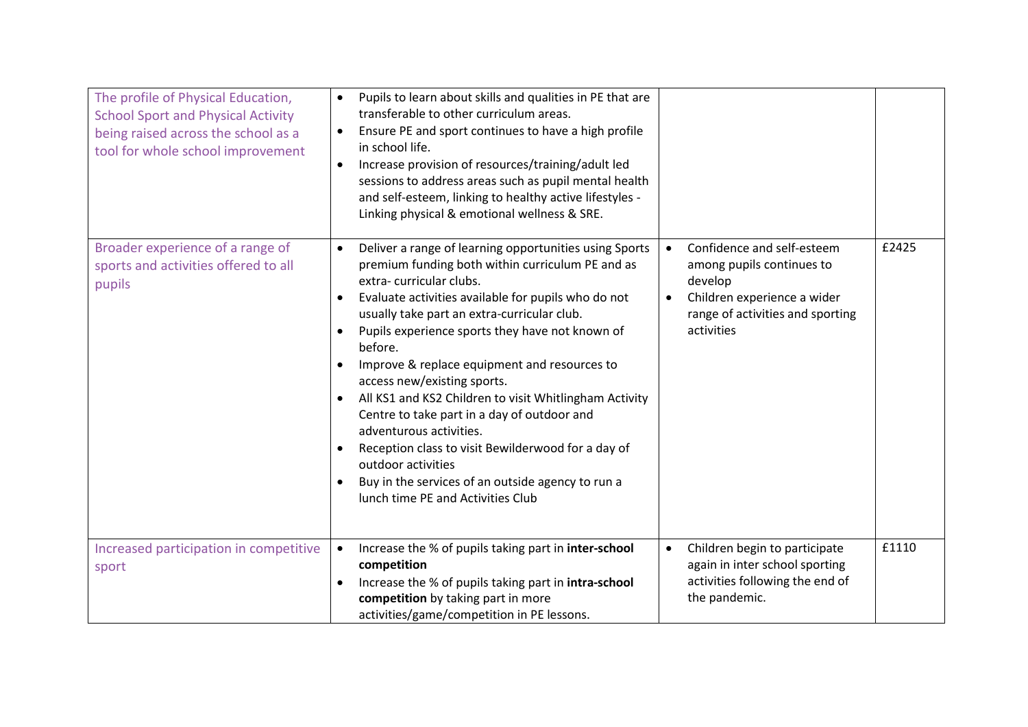| The profile of Physical Education,<br><b>School Sport and Physical Activity</b><br>being raised across the school as a<br>tool for whole school improvement | Pupils to learn about skills and qualities in PE that are<br>$\bullet$<br>transferable to other curriculum areas.<br>Ensure PE and sport continues to have a high profile<br>$\bullet$<br>in school life.<br>Increase provision of resources/training/adult led<br>sessions to address areas such as pupil mental health<br>and self-esteem, linking to healthy active lifestyles -<br>Linking physical & emotional wellness & SRE.                                                                                                                                                                                                                                                                                                       |                                                                                                                                                                               |       |
|-------------------------------------------------------------------------------------------------------------------------------------------------------------|-------------------------------------------------------------------------------------------------------------------------------------------------------------------------------------------------------------------------------------------------------------------------------------------------------------------------------------------------------------------------------------------------------------------------------------------------------------------------------------------------------------------------------------------------------------------------------------------------------------------------------------------------------------------------------------------------------------------------------------------|-------------------------------------------------------------------------------------------------------------------------------------------------------------------------------|-------|
| Broader experience of a range of<br>sports and activities offered to all<br>pupils                                                                          | Deliver a range of learning opportunities using Sports<br>$\bullet$<br>premium funding both within curriculum PE and as<br>extra-curricular clubs.<br>Evaluate activities available for pupils who do not<br>$\bullet$<br>usually take part an extra-curricular club.<br>Pupils experience sports they have not known of<br>before.<br>Improve & replace equipment and resources to<br>access new/existing sports.<br>All KS1 and KS2 Children to visit Whitlingham Activity<br>$\bullet$<br>Centre to take part in a day of outdoor and<br>adventurous activities.<br>Reception class to visit Bewilderwood for a day of<br>outdoor activities<br>Buy in the services of an outside agency to run a<br>lunch time PE and Activities Club | Confidence and self-esteem<br>$\bullet$<br>among pupils continues to<br>develop<br>Children experience a wider<br>$\bullet$<br>range of activities and sporting<br>activities | £2425 |
| Increased participation in competitive<br>sport                                                                                                             | Increase the % of pupils taking part in inter-school<br>$\bullet$<br>competition<br>Increase the % of pupils taking part in intra-school<br>competition by taking part in more<br>activities/game/competition in PE lessons.                                                                                                                                                                                                                                                                                                                                                                                                                                                                                                              | Children begin to participate<br>$\bullet$<br>again in inter school sporting<br>activities following the end of<br>the pandemic.                                              | £1110 |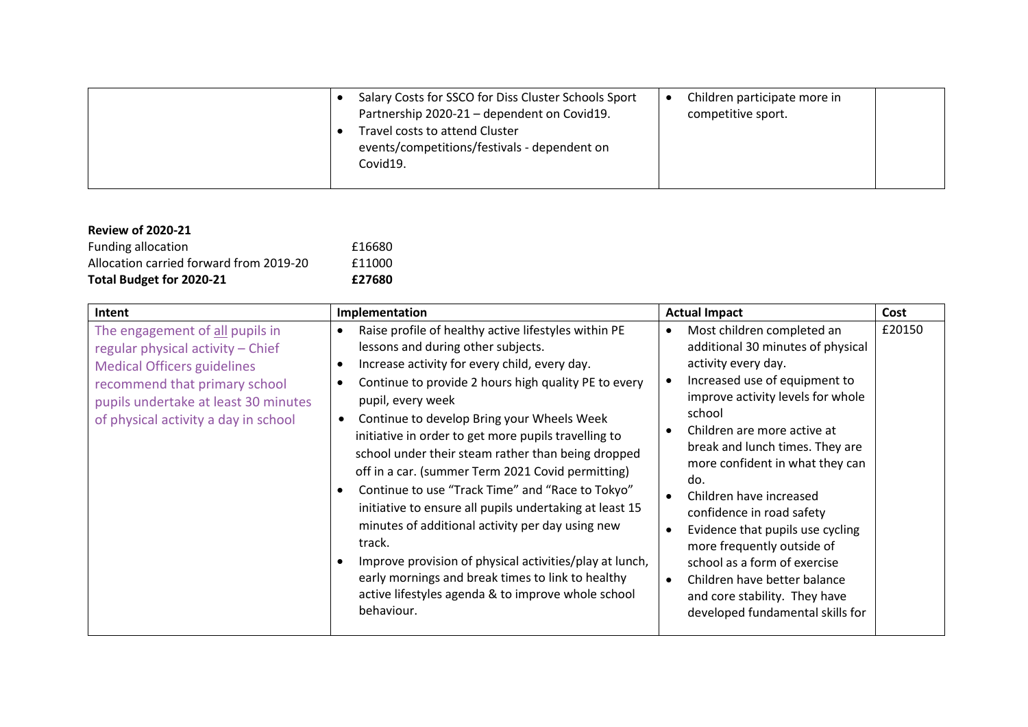|  | Salary Costs for SSCO for Diss Cluster Schools Sport<br>Partnership 2020-21 - dependent on Covid19.<br>Travel costs to attend Cluster<br>events/competitions/festivals - dependent on | Children participate more in<br>competitive sport. |  |
|--|---------------------------------------------------------------------------------------------------------------------------------------------------------------------------------------|----------------------------------------------------|--|
|  | Covid19.                                                                                                                                                                              |                                                    |  |

| <b>Review of 2020-21</b>                |        |
|-----------------------------------------|--------|
| Funding allocation                      | £16680 |
| Allocation carried forward from 2019-20 | £11000 |
| Total Budget for 2020-21                | £27680 |

| Intent                                                                                                                                                                                                                      | Implementation                                                                                                                                                                                                                                                                                                                                                                                                                                                                                                                                                                                                                                                                                                                                                                                                          | <b>Actual Impact</b>                                                                                                                                                                                                                                                                                                                                                                                                                                                                                                                              | Cost   |
|-----------------------------------------------------------------------------------------------------------------------------------------------------------------------------------------------------------------------------|-------------------------------------------------------------------------------------------------------------------------------------------------------------------------------------------------------------------------------------------------------------------------------------------------------------------------------------------------------------------------------------------------------------------------------------------------------------------------------------------------------------------------------------------------------------------------------------------------------------------------------------------------------------------------------------------------------------------------------------------------------------------------------------------------------------------------|---------------------------------------------------------------------------------------------------------------------------------------------------------------------------------------------------------------------------------------------------------------------------------------------------------------------------------------------------------------------------------------------------------------------------------------------------------------------------------------------------------------------------------------------------|--------|
| The engagement of all pupils in<br>regular physical activity - Chief<br><b>Medical Officers guidelines</b><br>recommend that primary school<br>pupils undertake at least 30 minutes<br>of physical activity a day in school | Raise profile of healthy active lifestyles within PE<br>lessons and during other subjects.<br>Increase activity for every child, every day.<br>Continue to provide 2 hours high quality PE to every<br>$\bullet$<br>pupil, every week<br>Continue to develop Bring your Wheels Week<br>initiative in order to get more pupils travelling to<br>school under their steam rather than being dropped<br>off in a car. (summer Term 2021 Covid permitting)<br>Continue to use "Track Time" and "Race to Tokyo"<br>initiative to ensure all pupils undertaking at least 15<br>minutes of additional activity per day using new<br>track.<br>Improve provision of physical activities/play at lunch,<br>early mornings and break times to link to healthy<br>active lifestyles agenda & to improve whole school<br>behaviour. | Most children completed an<br>additional 30 minutes of physical<br>activity every day.<br>Increased use of equipment to<br>improve activity levels for whole<br>school<br>Children are more active at<br>break and lunch times. They are<br>more confident in what they can<br>do.<br>Children have increased<br>confidence in road safety<br>Evidence that pupils use cycling<br>more frequently outside of<br>school as a form of exercise<br>Children have better balance<br>and core stability. They have<br>developed fundamental skills for | £20150 |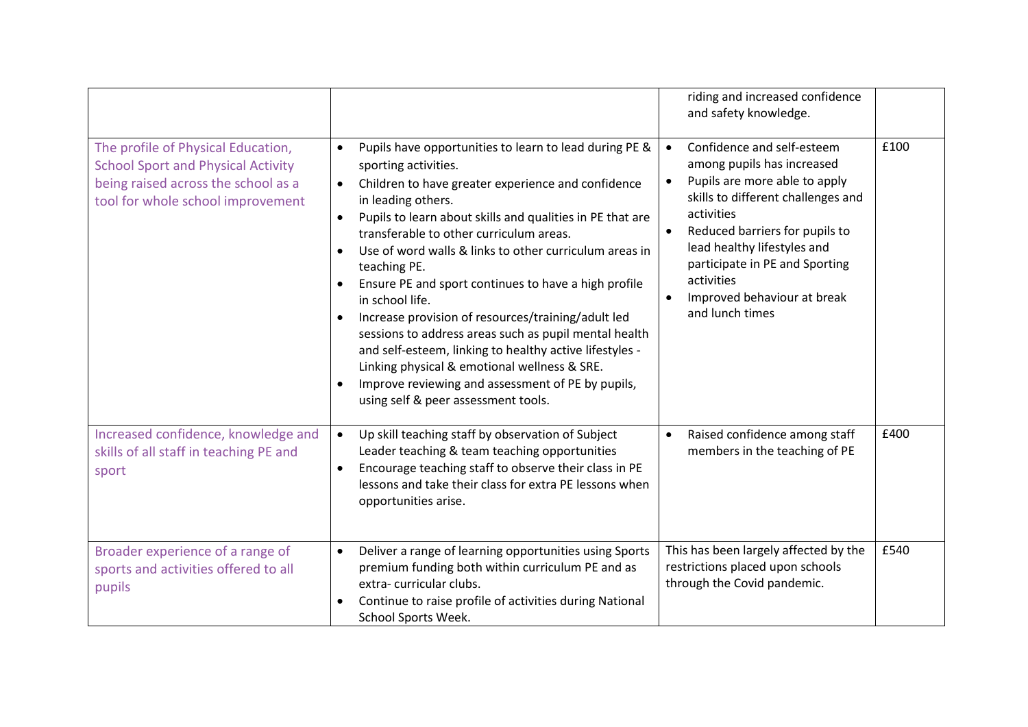|                                                                                                                                                             |                                                                                                                                                                                                                                                                                                                                                                                                                                                                                                                                                                                                                                                                                                                                                                                                   | riding and increased confidence<br>and safety knowledge.                                                                                                                                                                                                                                                                                   |      |
|-------------------------------------------------------------------------------------------------------------------------------------------------------------|---------------------------------------------------------------------------------------------------------------------------------------------------------------------------------------------------------------------------------------------------------------------------------------------------------------------------------------------------------------------------------------------------------------------------------------------------------------------------------------------------------------------------------------------------------------------------------------------------------------------------------------------------------------------------------------------------------------------------------------------------------------------------------------------------|--------------------------------------------------------------------------------------------------------------------------------------------------------------------------------------------------------------------------------------------------------------------------------------------------------------------------------------------|------|
| The profile of Physical Education,<br><b>School Sport and Physical Activity</b><br>being raised across the school as a<br>tool for whole school improvement | Pupils have opportunities to learn to lead during PE &<br>$\bullet$<br>sporting activities.<br>Children to have greater experience and confidence<br>$\bullet$<br>in leading others.<br>Pupils to learn about skills and qualities in PE that are<br>$\bullet$<br>transferable to other curriculum areas.<br>Use of word walls & links to other curriculum areas in<br>teaching PE.<br>Ensure PE and sport continues to have a high profile<br>$\bullet$<br>in school life.<br>Increase provision of resources/training/adult led<br>sessions to address areas such as pupil mental health<br>and self-esteem, linking to healthy active lifestyles -<br>Linking physical & emotional wellness & SRE.<br>Improve reviewing and assessment of PE by pupils,<br>using self & peer assessment tools. | Confidence and self-esteem<br>among pupils has increased<br>Pupils are more able to apply<br>$\bullet$<br>skills to different challenges and<br>activities<br>Reduced barriers for pupils to<br>lead healthy lifestyles and<br>participate in PE and Sporting<br>activities<br>Improved behaviour at break<br>$\bullet$<br>and lunch times | £100 |
| Increased confidence, knowledge and<br>skills of all staff in teaching PE and<br>sport                                                                      | Up skill teaching staff by observation of Subject<br>$\bullet$<br>Leader teaching & team teaching opportunities<br>Encourage teaching staff to observe their class in PE<br>$\bullet$<br>lessons and take their class for extra PE lessons when<br>opportunities arise.                                                                                                                                                                                                                                                                                                                                                                                                                                                                                                                           | Raised confidence among staff<br>$\bullet$<br>members in the teaching of PE                                                                                                                                                                                                                                                                | £400 |
| Broader experience of a range of<br>sports and activities offered to all<br>pupils                                                                          | Deliver a range of learning opportunities using Sports<br>$\bullet$<br>premium funding both within curriculum PE and as<br>extra-curricular clubs.<br>Continue to raise profile of activities during National<br>School Sports Week.                                                                                                                                                                                                                                                                                                                                                                                                                                                                                                                                                              | This has been largely affected by the<br>restrictions placed upon schools<br>through the Covid pandemic.                                                                                                                                                                                                                                   | £540 |